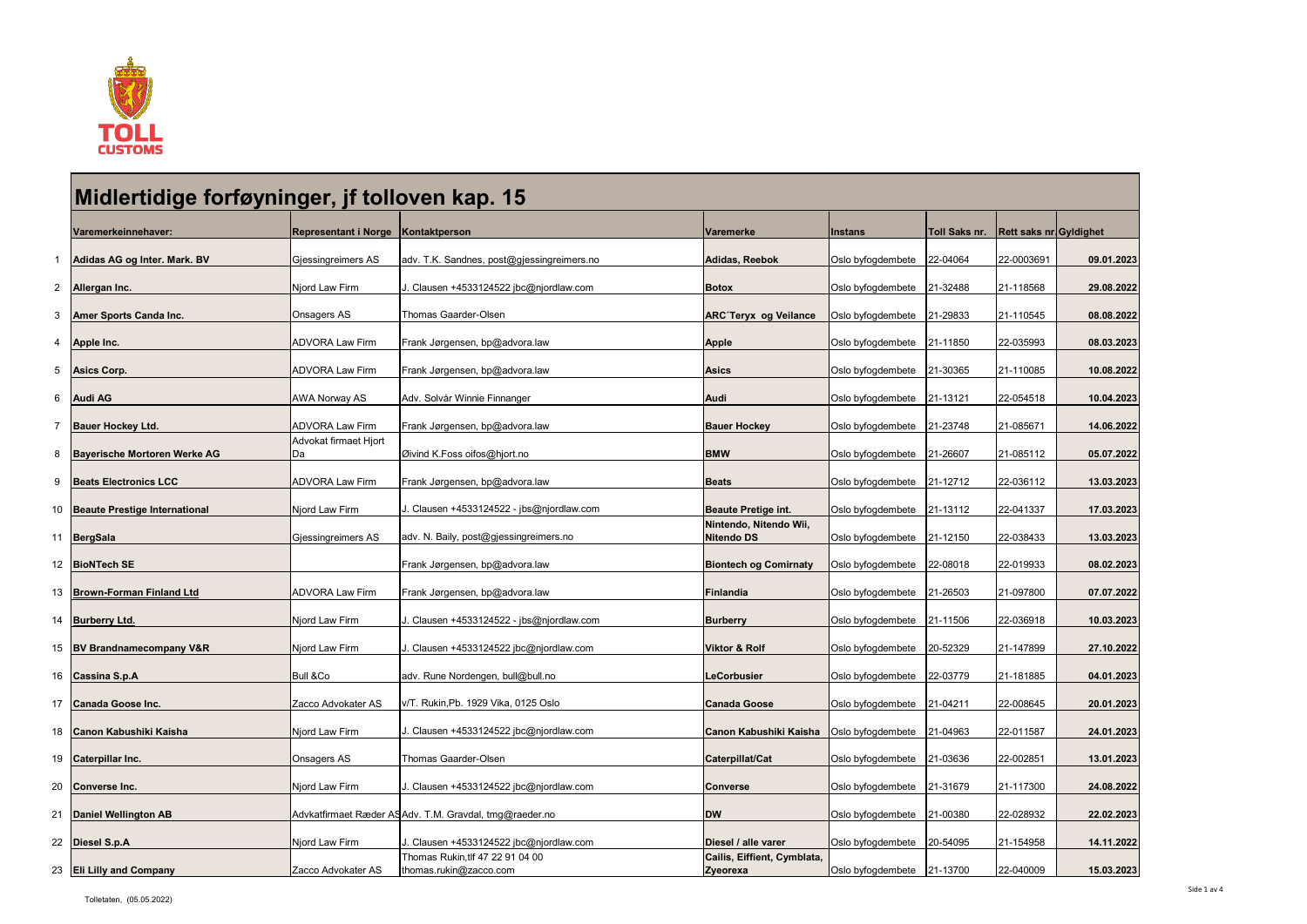

|              | Midlertidige forføyninger, jf tolloven kap. 15 |                                    |                                                            |                                                |                              |               |                                |            |  |
|--------------|------------------------------------------------|------------------------------------|------------------------------------------------------------|------------------------------------------------|------------------------------|---------------|--------------------------------|------------|--|
|              | Varemerkeinnehaver:                            | Representant i Norge Kontaktperson |                                                            | <b>Varemerke</b>                               | <b>Instans</b>               | Toll Saks nr. | <b>Rett saks nr. Gyldighet</b> |            |  |
| $\mathbf{1}$ | Adidas AG og Inter. Mark. BV                   | Gjessingreimers AS                 | adv. T.K. Sandnes, post@gjessingreimers.no                 | Adidas, Reebok                                 | Oslo byfogdembete 22-04064   |               | 22-0003691                     | 09.01.2023 |  |
|              | 2 Allergan Inc.                                | Njord Law Firm                     | Clausen +4533124522 jbc@njordlaw.com                       | <b>Botox</b>                                   | Oslo byfogdembete   21-32488 |               | 21-118568                      | 29.08.2022 |  |
|              | 3 Amer Sports Canda Inc.                       | Onsagers AS                        | Thomas Gaarder-Olsen                                       | <b>ARC Teryx og Veilance</b>                   | Oslo byfogdembete   21-29833 |               | 21-110545                      | 08.08.2022 |  |
|              | 4 Apple Inc.                                   | <b>ADVORA Law Firm</b>             | Frank Jørgensen, bp@advora.law                             | <b>Apple</b>                                   | Oslo byfogdembete 21-11850   |               | 22-035993                      | 08.03.2023 |  |
|              | 5 Asics Corp.                                  | <b>ADVORA Law Firm</b>             | Frank Jørgensen, bp@advora.law                             | <b>Asics</b>                                   | Oslo byfogdembete            | 21-30365      | 21-110085                      | 10.08.2022 |  |
|              | 6 Audi AG                                      | <b>AWA Norway AS</b>               | Adv. Solvår Winnie Finnanger                               | <b>Audi</b>                                    | Oslo byfogdembete 21-13121   |               | 22-054518                      | 10.04.2023 |  |
|              | 7   Bauer Hockey Ltd.                          | <b>ADVORA Law Firm</b>             | Frank Jørgensen, bp@advora.law                             | <b>Bauer Hockey</b>                            | Oslo byfogdembete   21-23748 |               | 21-085671                      | 14.06.2022 |  |
|              | 8 Bayerische Mortoren Werke AG                 | Advokat firmaet Hjort<br>Da        | Øivind K.Foss oifos@hjort.no                               | <b>BMW</b>                                     | Oslo byfogdembete            | 21-26607      | 21-085112                      | 05.07.2022 |  |
|              | 9 Beats Electronics LCC                        | <b>ADVORA Law Firm</b>             | Frank Jørgensen, bp@advora.law                             | <b>Beats</b>                                   | Oslo byfogdembete 21-12712   |               | 22-036112                      | 13.03.2023 |  |
|              | 10 Beaute Prestige International               | Njord Law Firm                     | J. Clausen +4533124522 - jbs@njordlaw.com                  | <b>Beaute Pretige int.</b>                     | Oslo byfogdembete   21-13112 |               | 22-041337                      | 17.03.2023 |  |
|              | 11 BergSala                                    | Gjessingreimers AS                 | adv. N. Baily, post@gjessingreimers.no                     | Nintendo, Nitendo Wii,<br><b>Nitendo DS</b>    | Oslo byfogdembete 21-12150   |               | 22-038433                      | 13.03.2023 |  |
|              | 12 BioNTech SE                                 |                                    | Frank Jørgensen, bp@advora.law                             | <b>Biontech og Comirnaty</b>                   | Oslo byfogdembete            | 22-08018      | 22-019933                      | 08.02.2023 |  |
|              | 13 Brown-Forman Finland Ltd                    | <b>ADVORA Law Firm</b>             | Frank Jørgensen, bp@advora.law                             | Finlandia                                      | Oslo byfogdembete   21-26503 |               | 21-097800                      | 07.07.2022 |  |
|              | 14 Burberry Ltd.                               | Njord Law Firm                     | J. Clausen +4533124522 - jbs@njordlaw.com                  | <b>Burberry</b>                                | Oslo byfogdembete 21-11506   |               | 22-036918                      | 10.03.2023 |  |
|              | 15 BV Brandnamecompany V&R                     | Njord Law Firm                     | Clausen +4533124522 jbc@njordlaw.com                       | <b>Viktor &amp; Rolf</b>                       | Oslo byfogdembete 20-52329   |               | 21-147899                      | 27.10.2022 |  |
|              | 16 Cassina S.p.A                               | Bull &Co                           | adv. Rune Nordengen, bull@bull.no                          | <b>LeCorbusier</b>                             | Oslo byfogdembete 22-03779   |               | 21-181885                      | 04.01.2023 |  |
|              | 17 Canada Goose Inc.                           | Zacco Advokater AS                 | v/T. Rukin,Pb. 1929 Vika, 0125 Oslo                        | <b>Canada Goose</b>                            | Oslo byfogdembete            | 21-04211      | 22-008645                      | 20.01.2023 |  |
|              | 18 Canon Kabushiki Kaisha                      | Njord Law Firm                     | . Clausen +4533124522 jbc@njordlaw.com                     | Canon Kabushiki Kaisha                         | Oslo byfogdembete   21-04963 |               | 22-011587                      | 24.01.2023 |  |
|              | 19 Caterpillar Inc.                            | Onsagers AS                        | Thomas Gaarder-Olsen                                       | Caterpillat/Cat                                | Oslo byfogdembete   21-03636 |               | 22-002851                      | 13.01.2023 |  |
|              | 20 Converse Inc.                               | Njord Law Firm                     | Clausen +4533124522 jbc@njordlaw.com                       | <b>Converse</b>                                | Oslo byfogdembete   21-31679 |               | 21-117300                      | 24.08.2022 |  |
|              | 21   Daniel Wellington AB                      |                                    | Advkatfirmaet Ræder ASAdv. T.M. Gravdal, tmg@raeder.no     | <b>DW</b>                                      | Oslo byfogdembete   21-00380 |               | 22-028932                      | 22.02.2023 |  |
|              | 22 Diesel S.p.A                                | Njord Law Firm                     | Clausen +4533124522 jbc@njordlaw.com                       | Diesel / alle varer                            | Oslo byfogdembete   20-54095 |               | 21-154958                      | 14.11.2022 |  |
|              | 23 <b>Eli Lilly and Company</b>                | Zacco Advokater AS                 | Thomas Rukin, tlf 47 22 91 04 00<br>thomas.rukin@zacco.com | Cailis, Eiffient, Cymblata,<br><b>Zyeorexa</b> | Oslo byfogdembete 21-13700   |               | 22-040009                      | 15.03.2023 |  |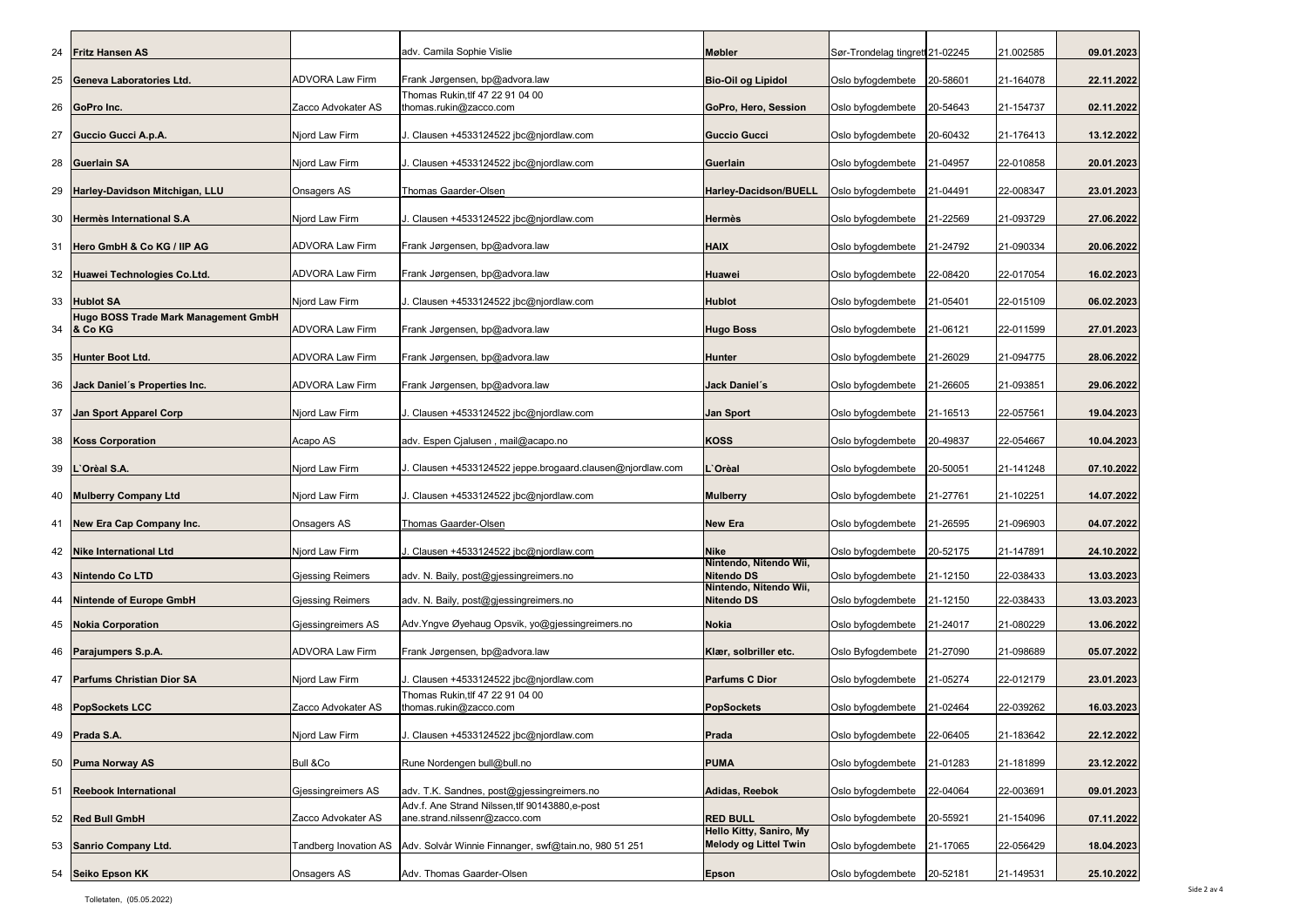| 24              | <b>Fritz Hansen AS</b>                                    |                         | adv. Camila Sophie Vislie                                                     | <b>Møbler</b>                               | Sør-Trondelag tingrett 21-02245 |          | 21.002585 | 09.01.2023 |
|-----------------|-----------------------------------------------------------|-------------------------|-------------------------------------------------------------------------------|---------------------------------------------|---------------------------------|----------|-----------|------------|
| 25              | Geneva Laboratories Ltd.                                  | <b>ADVORA Law Firm</b>  | Frank Jørgensen, bp@advora.law                                                | <b>Bio-Oil og Lipidol</b>                   | Oslo byfogdembete   20-58601    |          | 21-164078 | 22.11.2022 |
|                 | 26 GoPro Inc.                                             | Zacco Advokater AS      | Thomas Rukin,tlf 47 22 91 04 00<br>thomas.rukin@zacco.com                     | GoPro, Hero, Session                        | Oslo byfogdembete 20-54643      |          | 21-154737 | 02.11.2022 |
|                 |                                                           |                         |                                                                               |                                             |                                 |          |           |            |
| 27              | Guccio Gucci A.p.A.                                       | Njord Law Firm          | . Clausen +4533124522 jbc@njordlaw.com                                        | <b>Guccio Gucci</b>                         | Oslo byfogdembete               | 20-60432 | 21-176413 | 13.12.2022 |
|                 | 28 Guerlain SA                                            | Njord Law Firm          | . Clausen +4533124522 jbc@njordlaw.com                                        | Guerlain                                    | Oslo byfogdembete   21-04957    |          | 22-010858 | 20.01.2023 |
| 29              | Harley-Davidson Mitchigan, LLU                            | <b>Onsagers AS</b>      | <b>Thomas Gaarder-Olsen</b>                                                   | <b>Harley-Dacidson/BUELL</b>                | Oslo byfogdembete   21-04491    |          | 22-008347 | 23.01.2023 |
| 30              | Hermès International S.A                                  | Njord Law Firm          | . Clausen +4533124522 jbc@njordlaw.com                                        | <b>Hermès</b>                               | Oslo byfogdembete   21-22569    |          | 21-093729 | 27.06.2022 |
|                 | 31 Hero GmbH & Co KG / IIP AG                             | <b>ADVORA Law Firm</b>  | Frank Jørgensen, bp@advora.law                                                | <b>HAIX</b>                                 | Oslo byfogdembete   21-24792    |          | 21-090334 | 20.06.2022 |
| 32 <sub>2</sub> | Huawei Technologies Co.Ltd.                               | <b>ADVORA Law Firm</b>  | Frank Jørgensen, bp@advora.law                                                | <b>Huawei</b>                               | Oslo byfogdembete               | 22-08420 | 22-017054 | 16.02.2023 |
| 33              | <b>Hublot SA</b>                                          | Njord Law Firm          | . Clausen +4533124522 jbc@njordlaw.com                                        | <b>Hublot</b>                               | Oslo byfogdembete 21-05401      |          | 22-015109 | 06.02.2023 |
|                 | <b>Hugo BOSS Trade Mark Management GmbH</b><br>34 & Co KG | <b>ADVORA Law Firm</b>  | Frank Jørgensen, bp@advora.law                                                | <b>Hugo Boss</b>                            | Oslo byfogdembete   21-06121    |          | 22-011599 | 27.01.2023 |
|                 |                                                           |                         |                                                                               |                                             |                                 |          |           |            |
| 35              | <b>Hunter Boot Ltd.</b>                                   | <b>ADVORA Law Firm</b>  | Frank Jørgensen, bp@advora.law                                                | <b>Hunter</b>                               | Oslo byfogdembete 21-26029      |          | 21-094775 | 28.06.2022 |
| 36              | Jack Daniel's Properties Inc.                             | <b>ADVORA Law Firm</b>  | Frank Jørgensen, bp@advora.law                                                | Jack Daniel's                               | Oslo byfogdembete   21-26605    |          | 21-093851 | 29.06.2022 |
| 37              | Jan Sport Apparel Corp                                    | Njord Law Firm          | J. Clausen +4533124522 jbc@njordlaw.com                                       | <b>Jan Sport</b>                            | Oslo byfogdembete   21-16513    |          | 22-057561 | 19.04.2023 |
| 38              | <b>Koss Corporation</b>                                   | Acapo AS                | adv. Espen Cjalusen, mail@acapo.no                                            | <b>KOSS</b>                                 | Oslo byfogdembete   20-49837    |          | 22-054667 | 10.04.2023 |
|                 | 39   L'Orèal S.A.                                         | Njord Law Firm          | . Clausen +4533124522 jeppe.brogaard.clausen@njordlaw.com                     | .`Orèal                                     | Oslo byfogdembete   20-50051    |          | 21-141248 | 07.10.2022 |
|                 | 40 Mulberry Company Ltd                                   | Njord Law Firm          | J. Clausen +4533124522 jbc@njordlaw.com                                       | <b>Mulberry</b>                             | Oslo byfogdembete   21-27761    |          | 21-102251 | 14.07.2022 |
| 41              | <b>New Era Cap Company Inc.</b>                           | <b>Onsagers AS</b>      | Thomas Gaarder-Olsen                                                          | <b>New Era</b>                              | Oslo byfogdembete 21-26595      |          | 21-096903 | 04.07.2022 |
| 42              | <b>Nike International Ltd</b>                             | Njord Law Firm          | . Clausen +4533124522 jbc@njordlaw.com                                        | <b>Nike</b>                                 | Oslo byfogdembete   20-52175    |          | 21-147891 | 24.10.2022 |
|                 | 43 Nintendo Co LTD                                        | <b>Gjessing Reimers</b> | adv. N. Baily, post@gjessingreimers.no                                        | Nintendo, Nitendo Wii,<br><b>Nitendo DS</b> | Oslo byfogdembete 21-12150      |          | 22-038433 | 13.03.2023 |
| 44              | <b>Nintende of Europe GmbH</b>                            | <b>Gjessing Reimers</b> | adv. N. Baily, post@gjessingreimers.no                                        | Nintendo, Nitendo Wii,<br><b>Nitendo DS</b> | Oslo byfogdembete 21-12150      |          | 22-038433 | 13.03.2023 |
| 45              | <b>Nokia Corporation</b>                                  | Gjessingreimers AS      | Adv. Yngve Øyehaug Opsvik, yo@gjessingreimers.no                              | <b>Nokia</b>                                | Oslo byfogdembete   21-24017    |          | 21-080229 | 13.06.2022 |
|                 | 46 Parajumpers S.p.A.                                     | <b>ADVORA Law Firm</b>  | Frank Jørgensen, bp@advora.law                                                | Klær, solbriller etc.                       | Oslo Byfogdembete   21-27090    |          | 21-098689 | 05.07.2022 |
|                 |                                                           |                         |                                                                               |                                             |                                 |          |           |            |
| 47              | <b>Parfums Christian Dior SA</b>                          | Njord Law Firm          | l. Clausen +4533124522 jbc@njordlaw.com<br>Thomas Rukin, tlf 47 22 91 04 00   | <b>Parfums C Dior</b>                       | Oslo byfogdembete   21-05274    |          | 22-012179 | 23.01.2023 |
| 48              | <b>PopSockets LCC</b>                                     | Zacco Advokater AS      | thomas.rukin@zacco.com                                                        | <b>PopSockets</b>                           | Oslo byfogdembete 21-02464      |          | 22-039262 | 16.03.2023 |
|                 | 49 <b>Prada S.A.</b>                                      | Njord Law Firm          | J. Clausen +4533124522 jbc@njordlaw.com                                       | Prada                                       | Oslo byfogdembete 22-06405      |          | 21-183642 | 22.12.2022 |
|                 | 50 Puma Norway AS                                         | <b>Bull &amp;Co</b>     | Rune Nordengen bull@bull.no                                                   | <b>PUMA</b>                                 | Oslo byfogdembete   21-01283    |          | 21-181899 | 23.12.2022 |
| 51              | <b>Reebook International</b>                              | Gjessingreimers AS      | adv. T.K. Sandnes, post@gjessingreimers.no                                    | Adidas, Reebok                              | Oslo byfogdembete               | 22-04064 | 22-003691 | 09.01.2023 |
|                 | 52 Red Bull GmbH                                          | Zacco Advokater AS      | Adv.f. Ane Strand Nilssen,tlf 90143880,e-post                                 | <b>RED BULL</b>                             | Oslo byfogdembete   20-55921    |          |           |            |
|                 |                                                           |                         | ane.strand.nilssenr@zacco.com                                                 | Hello Kitty, Saniro, My                     |                                 |          | 21-154096 | 07.11.2022 |
|                 | 53 Sanrio Company Ltd.                                    |                         | Tandberg Inovation AS   Adv. Solvår Winnie Finnanger, swf@tain.no, 980 51 251 | <b>Melody og Littel Twin</b>                | Oslo byfogdembete   21-17065    |          | 22-056429 | 18.04.2023 |
|                 | 54 Seiko Epson KK                                         | <b>Onsagers AS</b>      | Adv. Thomas Gaarder-Olsen                                                     | <b>Epson</b>                                | Oslo byfogdembete   20-52181    |          | 21-149531 | 25.10.2022 |